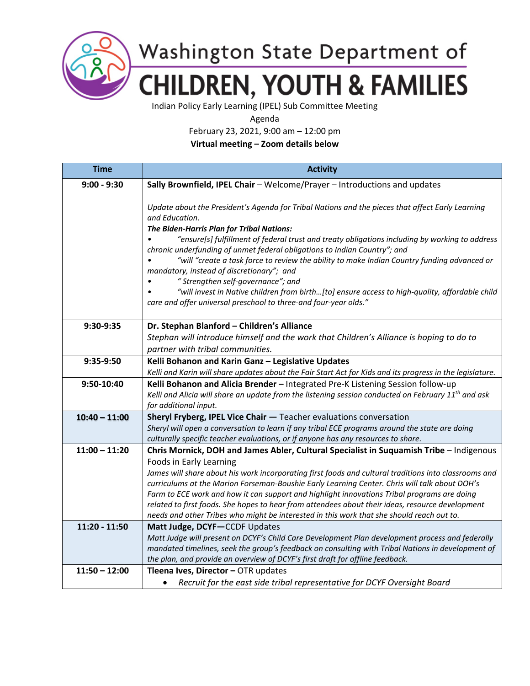

Washington State Department of **CHILDREN, YOUTH & FAMILIES** 

Indian Policy Early Learning (IPEL) Sub Committee Meeting

Agenda

February 23, 2021, 9:00 am – 12:00 pm

**Virtual meeting – Zoom details below**

| <b>Time</b>     | <b>Activity</b>                                                                                                                                                                                                                                                                                                                                                                                                                                                                                                                                                                                                                                                                                       |
|-----------------|-------------------------------------------------------------------------------------------------------------------------------------------------------------------------------------------------------------------------------------------------------------------------------------------------------------------------------------------------------------------------------------------------------------------------------------------------------------------------------------------------------------------------------------------------------------------------------------------------------------------------------------------------------------------------------------------------------|
| $9:00 - 9:30$   | Sally Brownfield, IPEL Chair - Welcome/Prayer - Introductions and updates                                                                                                                                                                                                                                                                                                                                                                                                                                                                                                                                                                                                                             |
|                 | Update about the President's Agenda for Tribal Nations and the pieces that affect Early Learning<br>and Education.<br>The Biden-Harris Plan for Tribal Nations:<br>"ensure[s] fulfillment of federal trust and treaty obligations including by working to address<br>chronic underfunding of unmet federal obligations to Indian Country"; and<br>"will "create a task force to review the ability to make Indian Country funding advanced or<br>mandatory, instead of discretionary"; and<br>"Strengthen self-governance"; and<br>"will invest in Native children from birth[to] ensure access to high-quality, affordable child<br>care and offer universal preschool to three-and four-year olds." |
| 9:30-9:35       | Dr. Stephan Blanford - Children's Alliance                                                                                                                                                                                                                                                                                                                                                                                                                                                                                                                                                                                                                                                            |
|                 | Stephan will introduce himself and the work that Children's Alliance is hoping to do to                                                                                                                                                                                                                                                                                                                                                                                                                                                                                                                                                                                                               |
|                 | partner with tribal communities.                                                                                                                                                                                                                                                                                                                                                                                                                                                                                                                                                                                                                                                                      |
| 9:35-9:50       | Kelli Bohanon and Karin Ganz - Legislative Updates<br>Kelli and Karin will share updates about the Fair Start Act for Kids and its progress in the legislature.                                                                                                                                                                                                                                                                                                                                                                                                                                                                                                                                       |
| 9:50-10:40      | Kelli Bohanon and Alicia Brender - Integrated Pre-K Listening Session follow-up                                                                                                                                                                                                                                                                                                                                                                                                                                                                                                                                                                                                                       |
|                 | Kelli and Alicia will share an update from the listening session conducted on February 11 <sup>th</sup> and ask                                                                                                                                                                                                                                                                                                                                                                                                                                                                                                                                                                                       |
|                 | for additional input.                                                                                                                                                                                                                                                                                                                                                                                                                                                                                                                                                                                                                                                                                 |
| $10:40 - 11:00$ | Sheryl Fryberg, IPEL Vice Chair - Teacher evaluations conversation                                                                                                                                                                                                                                                                                                                                                                                                                                                                                                                                                                                                                                    |
|                 | Sheryl will open a conversation to learn if any tribal ECE programs around the state are doing                                                                                                                                                                                                                                                                                                                                                                                                                                                                                                                                                                                                        |
|                 | culturally specific teacher evaluations, or if anyone has any resources to share.                                                                                                                                                                                                                                                                                                                                                                                                                                                                                                                                                                                                                     |
| $11:00 - 11:20$ | Chris Mornick, DOH and James Abler, Cultural Specialist in Suquamish Tribe - Indigenous                                                                                                                                                                                                                                                                                                                                                                                                                                                                                                                                                                                                               |
|                 | Foods in Early Learning                                                                                                                                                                                                                                                                                                                                                                                                                                                                                                                                                                                                                                                                               |
|                 | James will share about his work incorporating first foods and cultural traditions into classrooms and<br>curriculums at the Marion Forseman-Boushie Early Learning Center. Chris will talk about DOH's                                                                                                                                                                                                                                                                                                                                                                                                                                                                                                |
|                 | Farm to ECE work and how it can support and highlight innovations Tribal programs are doing                                                                                                                                                                                                                                                                                                                                                                                                                                                                                                                                                                                                           |
|                 | related to first foods. She hopes to hear from attendees about their ideas, resource development                                                                                                                                                                                                                                                                                                                                                                                                                                                                                                                                                                                                      |
|                 | needs and other Tribes who might be interested in this work that she should reach out to.                                                                                                                                                                                                                                                                                                                                                                                                                                                                                                                                                                                                             |
| 11:20 - 11:50   | Matt Judge, DCYF-CCDF Updates                                                                                                                                                                                                                                                                                                                                                                                                                                                                                                                                                                                                                                                                         |
|                 | Matt Judge will present on DCYF's Child Care Development Plan development process and federally                                                                                                                                                                                                                                                                                                                                                                                                                                                                                                                                                                                                       |
|                 | mandated timelines, seek the group's feedback on consulting with Tribal Nations in development of                                                                                                                                                                                                                                                                                                                                                                                                                                                                                                                                                                                                     |
|                 | the plan, and provide an overview of DCYF's first draft for offline feedback.                                                                                                                                                                                                                                                                                                                                                                                                                                                                                                                                                                                                                         |
| $11:50 - 12:00$ | Tleena Ives, Director - OTR updates                                                                                                                                                                                                                                                                                                                                                                                                                                                                                                                                                                                                                                                                   |
|                 | Recruit for the east side tribal representative for DCYF Oversight Board<br>٠                                                                                                                                                                                                                                                                                                                                                                                                                                                                                                                                                                                                                         |